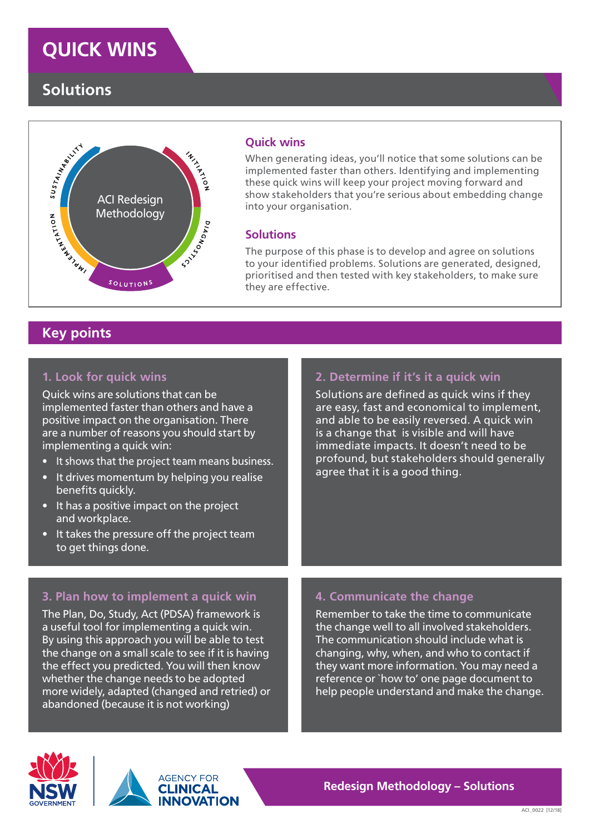# **QUICK WINS**

# **Solutions**



#### **Quick wins**

When generating ideas, you'll notice that some solutions can be implemented faster than others. Identifying and implementing these quick wins will keep your project moving forward and show stakeholders that you're serious about embedding change into your organisation.

#### **Solutions**

The purpose of this phase is to develop and agree on solutions to your identified problems. Solutions are generated, designed, prioritised and then tested with key stakeholders, to make sure they are effective.

## **Key points**

#### **1. Look for quick wins**

Quick wins are solutions that can be implemented faster than others and have a positive impact on the organisation. There are a number of reasons you should start by implementing a quick win:

- It shows that the project team means business.
- It drives momentum by helping you realise benefits quickly.
- It has a positive impact on the project and workplace.
- It takes the pressure off the project team to get things done.

#### **2. Determine if it's it a quick win**

Solutions are defined as quick wins if they are easy, fast and economical to implement, and able to be easily reversed. A quick win is a change that is visible and will have immediate impacts. It doesn't need to be profound, but stakeholders should generally agree that it is a good thing.

#### **3. Plan how to implement a quick win**

The Plan, Do, Study, Act (PDSA) framework is a useful tool for implementing a quick win. By using this approach you will be able to test the change on a small scale to see if it is having the effect you predicted. You will then know whether the change needs to be adopted more widely, adapted (changed and retried) or abandoned (because it is not working)

#### **4. Communicate the change**

Remember to take the time to communicate the change well to all involved stakeholders. The communication should include what is changing, why, when, and who to contact if they want more information. You may need a reference or `how to' one page document to help people understand and make the change.